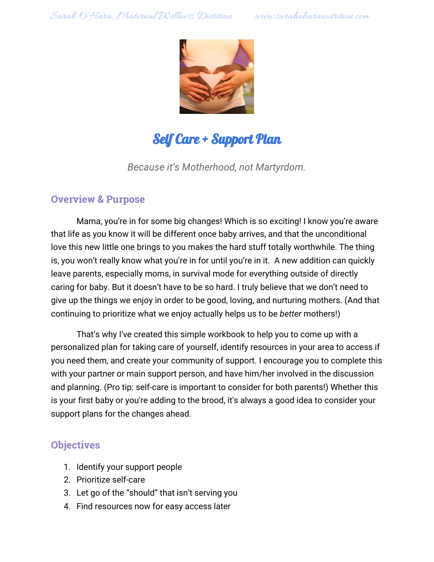

# Self Care + Support Plan

*Because it's Motherhood, not Martyrdom.*

## **Overview & Purpose**

Mama, you're in for some big changes! Which is so exciting! I know you're aware that life as you know it will be different once baby arrives, and that the unconditional love this new little one brings to you makes the hard stuff totally worthwhile. The thing is, you won't really know what you're in for until you're in it. A new addition can quickly leave parents, especially moms, in survival mode for everything outside of directly caring for baby. But it doesn't have to be so hard. I truly believe that we don't need to give up the things we enjoy in order to be good, loving, and nurturing mothers. (And that continuing to prioritize what we enjoy actually helps us to be *better* mothers!)

That's why I've created this simple workbook to help you to come up with a personalized plan for taking care of yourself, identify resources in your area to access if you need them, and create your community of support. I encourage you to complete this with your partner or main support person, and have him/her involved in the discussion and planning. (Pro tip: self-care is important to consider for both parents!) Whether this is your first baby or you're adding to the brood, it's always a good idea to consider your support plans for the changes ahead.

# **Objectives**

- 1. Identify your support people
- 2. Prioritize self-care
- 3. Let go of the "should" that isn't serving you
- 4. Find resources now for easy access later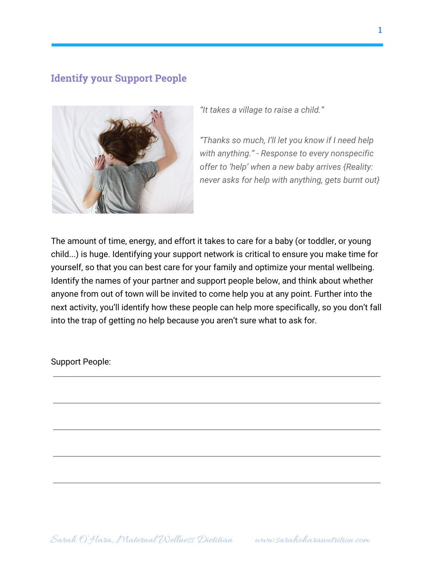## **Identify your Support People**



*"It takes a village to raise a child."*

*"Thanks so much, I'll let you know if I need help with anything." - Response to every nonspecific offer to 'help' when a new baby arrives {Reality: never asks for help with anything, gets burnt out}*

The amount of time, energy, and effort it takes to care for a baby (or toddler, or young child...) is huge. Identifying your support network is critical to ensure you make time for yourself, so that you can best care for your family and optimize your mental wellbeing. Identify the names of your partner and support people below, and think about whether anyone from out of town will be invited to come help you at any point. Further into the next activity, you'll identify how these people can help more specifically, so you don't fall into the trap of getting no help because you aren't sure what to ask for.

Support People: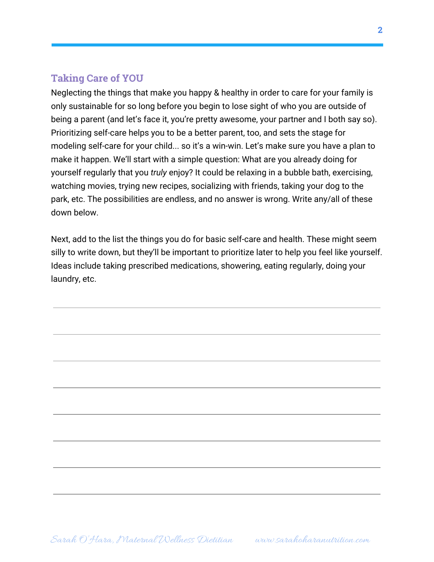## **Taking Care of YOU**

Neglecting the things that make you happy & healthy in order to care for your family is only sustainable for so long before you begin to lose sight of who you are outside of being a parent (and let's face it, you're pretty awesome, your partner and I both say so). Prioritizing self-care helps you to be a better parent, too, and sets the stage for modeling self-care for your child... so it's a win-win. Let's make sure you have a plan to make it happen. We'll start with a simple question: What are you already doing for yourself regularly that you *truly* enjoy? It could be relaxing in a bubble bath, exercising, watching movies, trying new recipes, socializing with friends, taking your dog to the park, etc. The possibilities are endless, and no answer is wrong. Write any/all of these down below.

Next, add to the list the things you do for basic self-care and health. These might seem silly to write down, but they'll be important to prioritize later to help you feel like yourself. Ideas include taking prescribed medications, showering, eating regularly, doing your laundry, etc.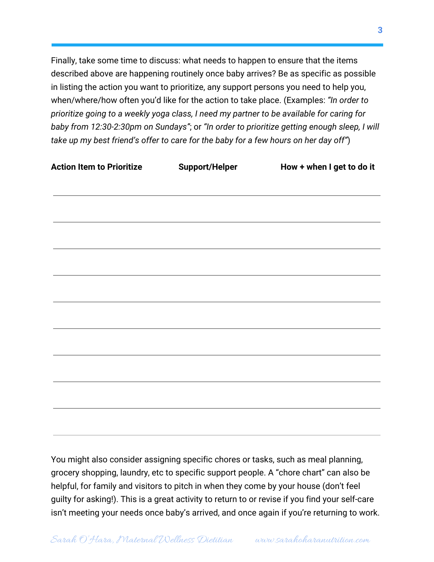Finally, take some time to discuss: what needs to happen to ensure that the items described above are happening routinely once baby arrives? Be as specific as possible in listing the action you want to prioritize, any support persons you need to help you, when/where/how often you'd like for the action to take place. (Examples: *"In order to prioritize going to a weekly yoga class, I need my partner to be available for caring for baby from 12:30-2:30pm on Sundays"*; or *"In order to prioritize getting enough sleep, I will take up my best friend's offer to care for the baby for a few hours on her day off"*)

| <b>Action Item to Prioritize</b> | <b>Support/Helper</b> | How + when I get to do it |
|----------------------------------|-----------------------|---------------------------|
|                                  |                       |                           |
|                                  |                       |                           |
|                                  |                       |                           |
|                                  |                       |                           |
|                                  |                       |                           |
|                                  |                       |                           |
|                                  |                       |                           |
|                                  |                       |                           |
|                                  |                       |                           |
|                                  |                       |                           |
|                                  |                       |                           |
|                                  |                       |                           |

You might also consider assigning specific chores or tasks, such as meal planning, grocery shopping, laundry, etc to specific support people. A "chore chart" can also be helpful, for family and visitors to pitch in when they come by your house (don't feel guilty for asking!). This is a great activity to return to or revise if you find your self-care isn't meeting your needs once baby's arrived, and once again if you're returning to work.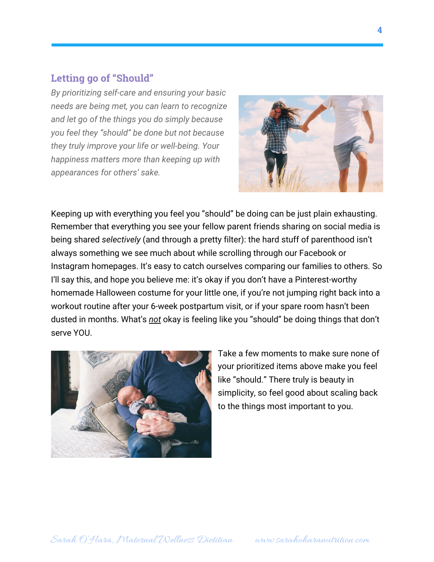#### **Letting go of "Should"**

*By prioritizing self-care and ensuring your basic needs are being met, you can learn to recognize and let go of the things you do simply because you feel they "should" be done but not because they truly improve your life or well-being. Your happiness matters more than keeping up with appearances for others' sake.*



Keeping up with everything you feel you "should" be doing can be just plain exhausting. Remember that everything you see your fellow parent friends sharing on social media is being shared *selectively* (and through a pretty filter): the hard stuff of parenthood isn't always something we see much about while scrolling through our Facebook or Instagram homepages. It's easy to catch ourselves comparing our families to others. So I'll say this, and hope you believe me: it's okay if you don't have a Pinterest-worthy homemade Halloween costume for your little one, if you're not jumping right back into a workout routine after your 6-week postpartum visit, or if your spare room hasn't been dusted in months. What's *not* okay is feeling like you "should" be doing things that don't serve YOU.



Take a few moments to make sure none of your prioritized items above make you feel like "should." There truly is beauty in simplicity, so feel good about scaling back to the things most important to you.